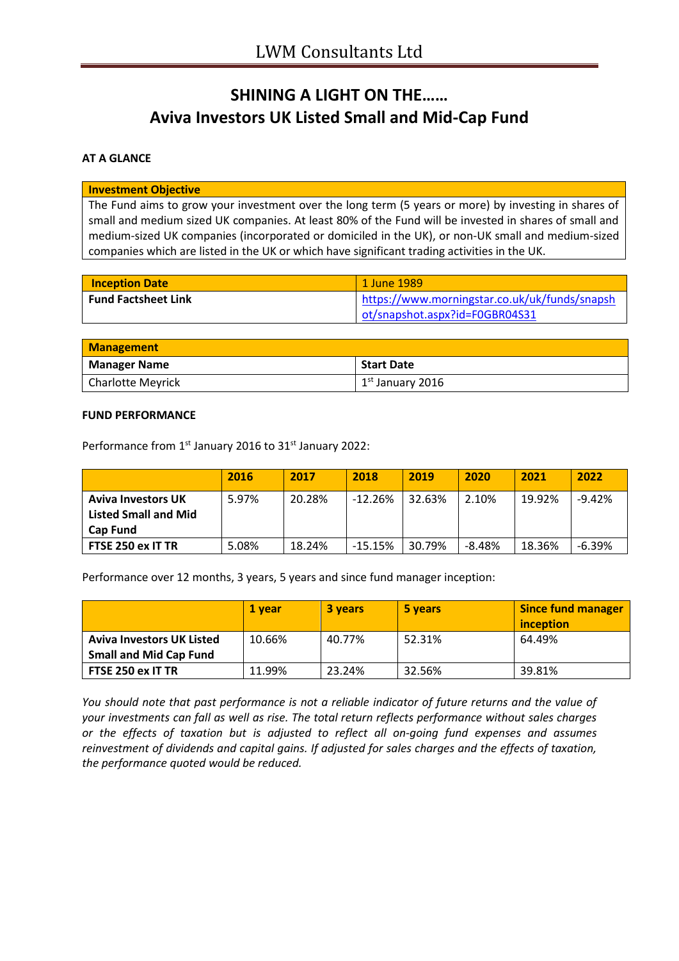# **SHINING A LIGHT ON THE…… Aviva Investors UK Listed Small and Mid-Cap Fund**

## **AT A GLANCE**

#### **Investment Objective**

The Fund aims to grow your investment over the long term (5 years or more) by investing in shares of small and medium sized UK companies. At least 80% of the Fund will be invested in shares of small and medium-sized UK companies (incorporated or domiciled in the UK), or non-UK small and medium-sized companies which are listed in the UK or which have significant trading activities in the UK.

| <b>Inception Date</b>      | 1 June 1989                                   |
|----------------------------|-----------------------------------------------|
| <b>Fund Factsheet Link</b> | https://www.morningstar.co.uk/uk/funds/snapsh |
|                            | ot/snapshot.aspx?id=F0GBR04S31                |

| <b>Management</b>        |                                      |  |
|--------------------------|--------------------------------------|--|
| <b>Manager Name</b>      | <b>Start Date</b>                    |  |
| <b>Charlotte Meyrick</b> | $\vert$ 1 <sup>st</sup> January 2016 |  |

#### **FUND PERFORMANCE**

Performance from 1<sup>st</sup> January 2016 to 31<sup>st</sup> January 2022:

|                             | 2016  | 2017   | 2018      | 2019   | 2020     | 2021   | 2022     |
|-----------------------------|-------|--------|-----------|--------|----------|--------|----------|
| <b>Aviva Investors UK</b>   | 5.97% | 20.28% | $-12.26%$ | 32.63% | 2.10%    | 19.92% | $-9.42%$ |
| <b>Listed Small and Mid</b> |       |        |           |        |          |        |          |
| <b>Cap Fund</b>             |       |        |           |        |          |        |          |
| FTSE 250 ex IT TR           | 5.08% | 18.24% | $-15.15%$ | 30.79% | $-8.48%$ | 18.36% | $-6.39%$ |

Performance over 12 months, 3 years, 5 years and since fund manager inception:

|                                  | 1 vear | 3 years | 5 years | <b>Since fund manager</b><br>inception |
|----------------------------------|--------|---------|---------|----------------------------------------|
| <b>Aviva Investors UK Listed</b> | 10.66% | 40.77%  | 52.31%  | 64.49%                                 |
| <b>Small and Mid Cap Fund</b>    |        |         |         |                                        |
| FTSE 250 ex IT TR                | 11.99% | 23.24%  | 32.56%  | 39.81%                                 |

*You should note that past performance is not a reliable indicator of future returns and the value of your investments can fall as well as rise. The total return reflects performance without sales charges or the effects of taxation but is adjusted to reflect all on-going fund expenses and assumes reinvestment of dividends and capital gains. If adjusted for sales charges and the effects of taxation, the performance quoted would be reduced.*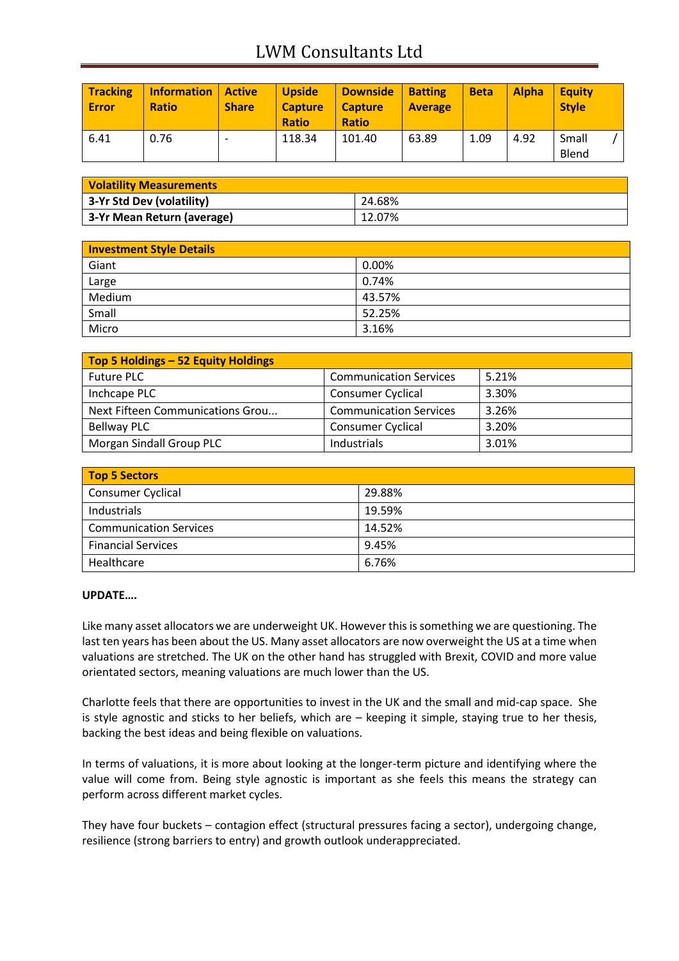## LWM Consultants Ltd

| <b>Tracking</b><br><b>Error</b> | <b>Information</b><br><b>Ratio</b> | <b>Active</b><br><b>Share</b> | <b>Upside</b><br><b>Capture</b><br><b>Ratio</b> | <b>Downside</b><br><b>Capture</b><br><b>Ratio</b> | <b>Batting</b><br><b>Average</b> | <b>Beta</b> | <b>Alpha</b> | <b>Equity</b><br><b>Style</b> |  |
|---------------------------------|------------------------------------|-------------------------------|-------------------------------------------------|---------------------------------------------------|----------------------------------|-------------|--------------|-------------------------------|--|
| 6.41                            | 0.76                               |                               | 118.34                                          | 101.40                                            | 63.89                            | 1.09        | 4.92         | Small<br>Blend                |  |

| <b>Volatility Measurements</b> |        |  |
|--------------------------------|--------|--|
| 3-Yr Std Dev (volatility)      | 24.68% |  |
| 3-Yr Mean Return (average)     | 12.07% |  |

| <b>Investment Style Details</b> |        |  |
|---------------------------------|--------|--|
| Giant                           | 0.00%  |  |
| Large                           | 0.74%  |  |
| Medium                          | 43.57% |  |
| Small                           | 52.25% |  |
| Micro                           | 3.16%  |  |

| Top 5 Holdings - 52 Equity Holdings |                               |       |
|-------------------------------------|-------------------------------|-------|
| <b>Future PLC</b>                   | <b>Communication Services</b> | 5.21% |
| Inchcape PLC                        | <b>Consumer Cyclical</b>      | 3.30% |
| Next Fifteen Communications Grou    | <b>Communication Services</b> | 3.26% |
| <b>Bellway PLC</b>                  | <b>Consumer Cyclical</b>      | 3.20% |
| Morgan Sindall Group PLC            | Industrials                   | 3.01% |

| <b>Top 5 Sectors</b>          |        |
|-------------------------------|--------|
| <b>Consumer Cyclical</b>      | 29.88% |
| Industrials                   | 19.59% |
| <b>Communication Services</b> | 14.52% |
| <b>Financial Services</b>     | 9.45%  |
| Healthcare                    | 6.76%  |

### **UPDATE….**

Like many asset allocators we are underweight UK. However this is something we are questioning. The last ten years has been about the US. Many asset allocators are now overweight the US at a time when valuations are stretched. The UK on the other hand has struggled with Brexit, COVID and more value orientated sectors, meaning valuations are much lower than the US.

Charlotte feels that there are opportunities to invest in the UK and the small and mid-cap space. She is style agnostic and sticks to her beliefs, which are – keeping it simple, staying true to her thesis, backing the best ideas and being flexible on valuations.

In terms of valuations, it is more about looking at the longer-term picture and identifying where the value will come from. Being style agnostic is important as she feels this means the strategy can perform across different market cycles.

They have four buckets – contagion effect (structural pressures facing a sector), undergoing change, resilience (strong barriers to entry) and growth outlook underappreciated.